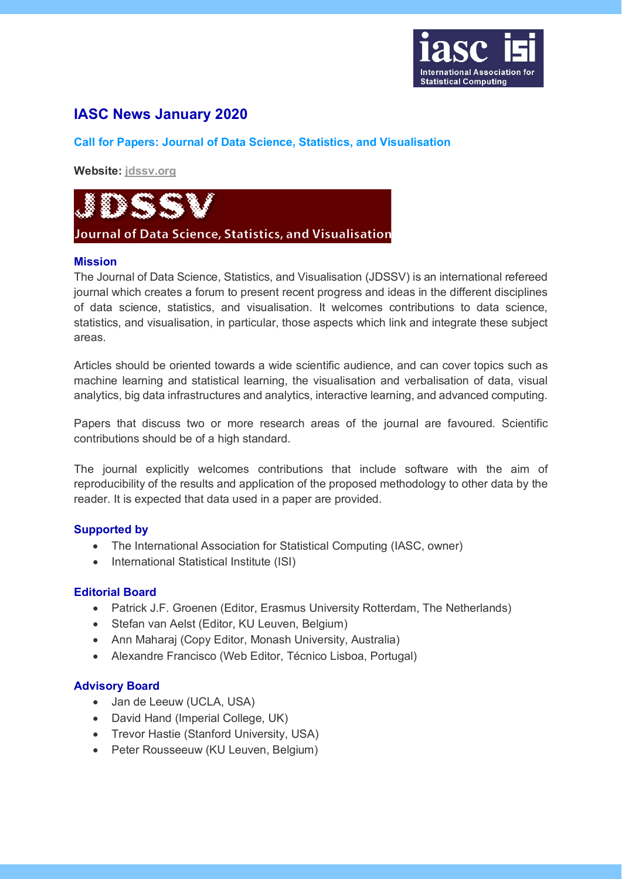

# **IASC News January 2020**

# **Call for Papers: Journal of Data Science, Statistics, and Visualisation**

**Website: [jdssv.org](https://jdssv.org/index.php/jdssv)**



## **Mission**

The Journal of Data Science, Statistics, and Visualisation (JDSSV) is an international refereed journal which creates a forum to present recent progress and ideas in the different disciplines of data science, statistics, and visualisation. It welcomes contributions to data science, statistics, and visualisation, in particular, those aspects which link and integrate these subject areas.

Articles should be oriented towards a wide scientific audience, and can cover topics such as machine learning and statistical learning, the visualisation and verbalisation of data, visual analytics, big data infrastructures and analytics, interactive learning, and advanced computing.

Papers that discuss two or more research areas of the journal are favoured. Scientific contributions should be of a high standard.

The journal explicitly welcomes contributions that include software with the aim of reproducibility of the results and application of the proposed methodology to other data by the reader. It is expected that data used in a paper are provided.

## **Supported by**

- The International Association for Statistical Computing (IASC, owner)
- International Statistical Institute (ISI)

## **Editorial Board**

- Patrick J.F. Groenen (Editor, Erasmus University Rotterdam, The Netherlands)
- Stefan van Aelst (Editor, KU Leuven, Belgium)
- Ann Maharaj (Copy Editor, Monash University, Australia)
- Alexandre Francisco (Web Editor, Técnico Lisboa, Portugal)

## **Advisory Board**

- Jan de Leeuw (UCLA, USA)
- David Hand (Imperial College, UK)
- Trevor Hastie (Stanford University, USA)
- Peter Rousseeuw (KU Leuven, Belgium)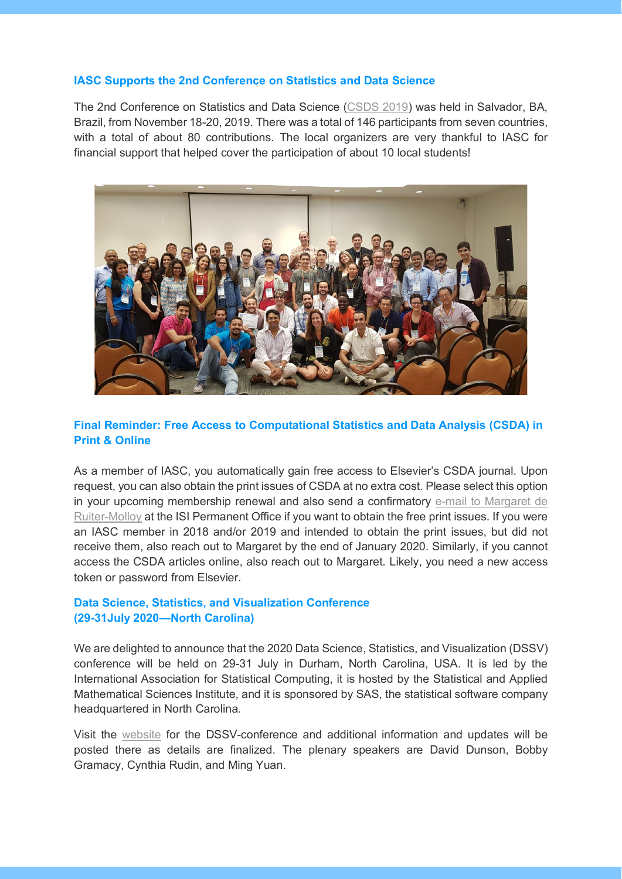#### **IASC Supports the 2nd Conference on Statistics and Data Science**

The 2nd Conference on Statistics and Data Science [\(CSDS 2019\)](http://www.csds2019.ime.ufba.br/) was held in Salvador, BA, Brazil, from November 18-20, 2019. There was a total of 146 participants from seven countries, with a total of about 80 contributions. The local organizers are very thankful to IASC for financial support that helped cover the participation of about 10 local students!



# **Final Reminder: Free Access to Computational Statistics and Data Analysis (CSDA) in Print & Online**

As a member of IASC, you automatically gain free access to Elsevier's CSDA journal. Upon request, you can also obtain the print issues of CSDA at no extra cost. Please select this option in your upcoming membership renewal and also send a confirmatory [e-mail to Margaret de](https://isi-web.org/index.php/about-isi/contact-isi/contact-form)  [Ruiter-Molloy](https://isi-web.org/index.php/about-isi/contact-isi/contact-form) at the ISI Permanent Office if you want to obtain the free print issues. If you were an IASC member in 2018 and/or 2019 and intended to obtain the print issues, but did not receive them, also reach out to Margaret by the end of January 2020. Similarly, if you cannot access the CSDA articles online, also reach out to Margaret. Likely, you need a new access token or password from Elsevier.

# **Data Science, Statistics, and Visualization Conference (29-31July 2020—North Carolina)**

We are delighted to announce that the 2020 Data Science, Statistics, and Visualization (DSSV) conference will be held on 29-31 July in Durham, North Carolina, USA. It is led by the International Association for Statistical Computing, it is hosted by the Statistical and Applied Mathematical Sciences Institute, and it is sponsored by SAS, the statistical software company headquartered in North Carolina.

Visit the [website](https://www.samsi.info/programs-and-activities/research-workshops/2020-data-science-statistics-and-visualisation-conference-july-29-31-2020/) for the DSSV-conference and additional information and updates will be posted there as details are finalized. The plenary speakers are David Dunson, Bobby Gramacy, Cynthia Rudin, and Ming Yuan.